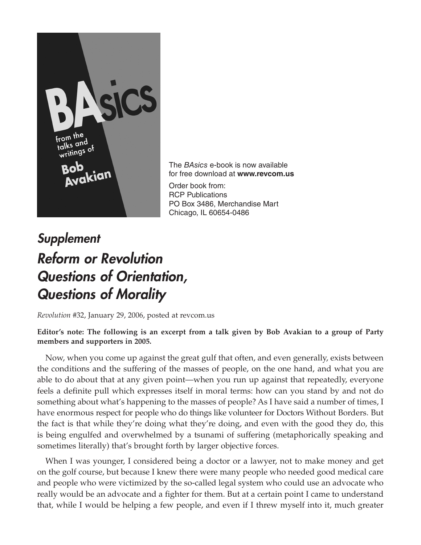

The *BAsics* e-book is now available for free download at **www.revcom.us** Order book from: RCP Publications PO Box 3486, Merchandise Mart Chicago, IL 60654-0486

## *Supplement Reform or Revolution Questions of Orientation, Questions of Morality*

*Revolution* #32, January 29, 2006, posted at revcom.us

## **Editor's note: The following is an excerpt from a talk given by Bob Avakian to a group of Party members and supporters in 2005.**

Now, when you come up against the great gulf that often, and even generally, exists between the conditions and the suffering of the masses of people, on the one hand, and what you are able to do about that at any given point—when you run up against that repeatedly, everyone feels a definite pull which expresses itself in moral terms: how can you stand by and not do something about what's happening to the masses of people? As I have said a number of times, I have enormous respect for people who do things like volunteer for Doctors Without Borders. But the fact is that while they're doing what they're doing, and even with the good they do, this is being engulfed and overwhelmed by a tsunami of suffering (metaphorically speaking and sometimes literally) that's brought forth by larger objective forces.

When I was younger, I considered being a doctor or a lawyer, not to make money and get on the golf course, but because I knew there were many people who needed good medical care and people who were victimized by the so-called legal system who could use an advocate who really would be an advocate and a fighter for them. But at a certain point I came to understand that, while I would be helping a few people, and even if I threw myself into it, much greater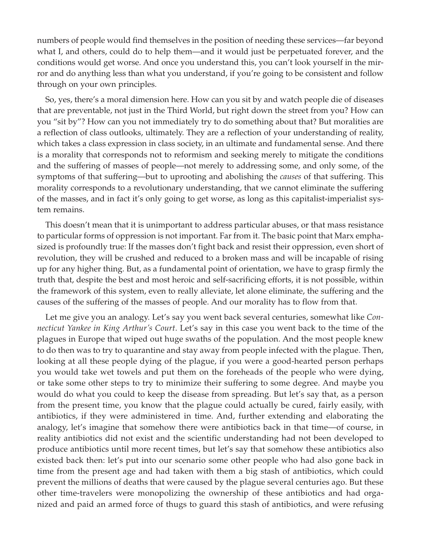numbers of people would find themselves in the position of needing these services—far beyond what I, and others, could do to help them—and it would just be perpetuated forever, and the conditions would get worse. And once you understand this, you can't look yourself in the mirror and do anything less than what you understand, if you're going to be consistent and follow through on your own principles.

So, yes, there's a moral dimension here. How can you sit by and watch people die of diseases that are preventable, not just in the Third World, but right down the street from you? How can you "sit by"? How can you not immediately try to do something about that? But moralities are a reflection of class outlooks, ultimately. They are a reflection of your understanding of reality, which takes a class expression in class society, in an ultimate and fundamental sense. And there is a morality that corresponds not to reformism and seeking merely to mitigate the conditions and the suffering of masses of people—not merely to addressing some, and only some, of the symptoms of that suffering—but to uprooting and abolishing the *causes* of that suffering. This morality corresponds to a revolutionary understanding, that we cannot eliminate the suffering of the masses, and in fact it's only going to get worse, as long as this capitalist-imperialist system remains.

This doesn't mean that it is unimportant to address particular abuses, or that mass resistance to particular forms of oppression is not important. Far from it. The basic point that Marx emphasized is profoundly true: If the masses don't fight back and resist their oppression, even short of revolution, they will be crushed and reduced to a broken mass and will be incapable of rising up for any higher thing. But, as a fundamental point of orientation, we have to grasp firmly the truth that, despite the best and most heroic and self‑sacrificing efforts, it is not possible, within the framework of this system, even to really alleviate, let alone eliminate, the suffering and the causes of the suffering of the masses of people. And our morality has to flow from that.

Let me give you an analogy. Let's say you went back several centuries, somewhat like *Connecticut Yankee in King Arthur's Court*. Let's say in this case you went back to the time of the plagues in Europe that wiped out huge swaths of the population. And the most people knew to do then was to try to quarantine and stay away from people infected with the plague. Then, looking at all these people dying of the plague, if you were a good-hearted person perhaps you would take wet towels and put them on the foreheads of the people who were dying, or take some other steps to try to minimize their suffering to some degree. And maybe you would do what you could to keep the disease from spreading. But let's say that, as a person from the present time, you know that the plague could actually be cured, fairly easily, with antibiotics, if they were administered in time. And, further extending and elaborating the analogy, let's imagine that somehow there were antibiotics back in that time—of course, in reality antibiotics did not exist and the scientific understanding had not been developed to produce antibiotics until more recent times, but let's say that somehow these antibiotics also existed back then: let's put into our scenario some other people who had also gone back in time from the present age and had taken with them a big stash of antibiotics, which could prevent the millions of deaths that were caused by the plague several centuries ago. But these other time-travelers were monopolizing the ownership of these antibiotics and had organized and paid an armed force of thugs to guard this stash of antibiotics, and were refusing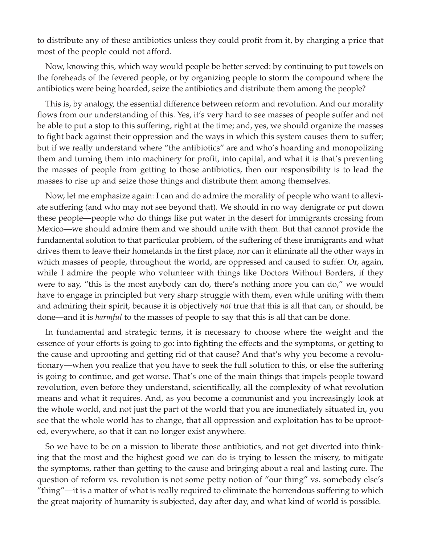to distribute any of these antibiotics unless they could profit from it, by charging a price that most of the people could not afford.

Now, knowing this, which way would people be better served: by continuing to put towels on the foreheads of the fevered people, or by organizing people to storm the compound where the antibiotics were being hoarded, seize the antibiotics and distribute them among the people?

This is, by analogy, the essential difference between reform and revolution. And our morality flows from our understanding of this. Yes, it's very hard to see masses of people suffer and not be able to put a stop to this suffering, right at the time; and, yes, we should organize the masses to fight back against their oppression and the ways in which this system causes them to suffer; but if we really understand where "the antibiotics" are and who's hoarding and monopolizing them and turning them into machinery for profit, into capital, and what it is that's preventing the masses of people from getting to those antibiotics, then our responsibility is to lead the masses to rise up and seize those things and distribute them among themselves.

Now, let me emphasize again: I can and do admire the morality of people who want to alleviate suffering (and who may not see beyond that). We should in no way denigrate or put down these people—people who do things like put water in the desert for immigrants crossing from Mexico—we should admire them and we should unite with them. But that cannot provide the fundamental solution to that particular problem, of the suffering of these immigrants and what drives them to leave their homelands in the first place, nor can it eliminate all the other ways in which masses of people, throughout the world, are oppressed and caused to suffer. Or, again, while I admire the people who volunteer with things like Doctors Without Borders, if they were to say, "this is the most anybody can do, there's nothing more you can do," we would have to engage in principled but very sharp struggle with them, even while uniting with them and admiring their spirit, because it is objectively *not* true that this is all that can, or should, be done—and it is *harmful* to the masses of people to say that this is all that can be done.

In fundamental and strategic terms, it is necessary to choose where the weight and the essence of your efforts is going to go: into fighting the effects and the symptoms, or getting to the cause and uprooting and getting rid of that cause? And that's why you become a revolutionary—when you realize that you have to seek the full solution to this, or else the suffering is going to continue, and get worse. That's one of the main things that impels people toward revolution, even before they understand, scientifically, all the complexity of what revolution means and what it requires. And, as you become a communist and you increasingly look at the whole world, and not just the part of the world that you are immediately situated in, you see that the whole world has to change, that all oppression and exploitation has to be uprooted, everywhere, so that it can no longer exist anywhere.

So we have to be on a mission to liberate those antibiotics, and not get diverted into think– ing that the most and the highest good we can do is trying to lessen the misery, to mitigate the symptoms, rather than getting to the cause and bringing about a real and lasting cure. The question of reform vs. revolution is not some petty notion of "our thing" vs. somebody else's "thing"—it is a matter of what is really required to eliminate the horrendous suffering to which the great majority of humanity is subjected, day after day, and what kind of world is possible.